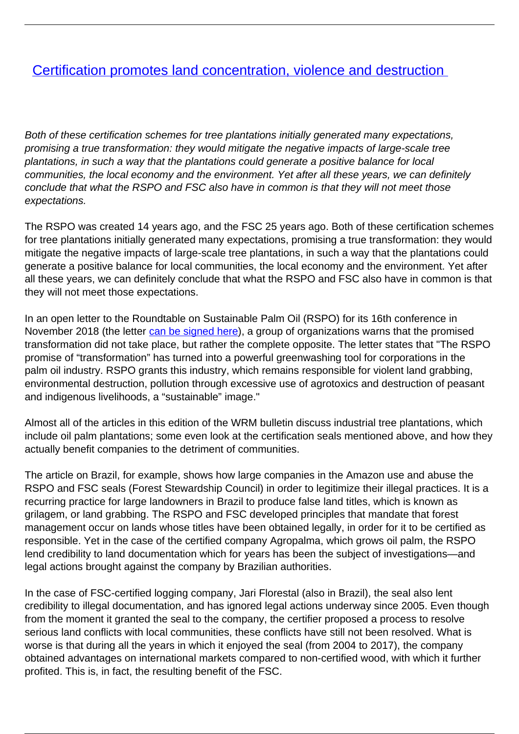## [Certification promotes land concentration, violence and destruction](/bulletin-articles/certification-promotes-land-concentration-violence-and-destruction)

Both of these certification schemes for tree plantations initially generated many expectations, promising a true transformation: they would mitigate the negative impacts of large-scale tree plantations, in such a way that the plantations could generate a positive balance for local communities, the local economy and the environment. Yet after all these years, we can definitely conclude that what the RSPO and FSC also have in common is that they will not meet those expectations.

The RSPO was created 14 years ago, and the FSC 25 years ago. Both of these certification schemes for tree plantations initially generated many expectations, promising a true transformation: they would mitigate the negative impacts of large-scale tree plantations, in such a way that the plantations could generate a positive balance for local communities, the local economy and the environment. Yet after all these years, we can definitely conclude that what the RSPO and FSC also have in common is that they will not meet those expectations.

In an open letter to the Roundtable on Sustainable Palm Oil (RSPO) for its 16th conference in November 2018 (the letter [can be signed here](https://wrm.org.uy/other-relevant-information/sign-the-statement-rspo-14-years-failing-to-eliminate-violence-and-destruction-from-the-industrial-palm-oil-sector/)), a group of organizations warns that the promised transformation did not take place, but rather the complete opposite. The letter states that "The RSPO promise of "transformation" has turned into a powerful greenwashing tool for corporations in the palm oil industry. RSPO grants this industry, which remains responsible for violent land grabbing, environmental destruction, pollution through excessive use of agrotoxics and destruction of peasant and indigenous livelihoods, a "sustainable" image."

Almost all of the articles in this edition of the WRM bulletin discuss industrial tree plantations, which include oil palm plantations; some even look at the certification seals mentioned above, and how they actually benefit companies to the detriment of communities.

The article on Brazil, for example, shows how large companies in the Amazon use and abuse the RSPO and FSC seals (Forest Stewardship Council) in order to legitimize their illegal practices. It is a recurring practice for large landowners in Brazil to produce false land titles, which is known as grilagem, or land grabbing. The RSPO and FSC developed principles that mandate that forest management occur on lands whose titles have been obtained legally, in order for it to be certified as responsible. Yet in the case of the certified company Agropalma, which grows oil palm, the RSPO lend credibility to land documentation which for years has been the subject of investigations—and legal actions brought against the company by Brazilian authorities.

In the case of FSC-certified logging company, Jari Florestal (also in Brazil), the seal also lent credibility to illegal documentation, and has ignored legal actions underway since 2005. Even though from the moment it granted the seal to the company, the certifier proposed a process to resolve serious land conflicts with local communities, these conflicts have still not been resolved. What is worse is that during all the years in which it enjoyed the seal (from 2004 to 2017), the company obtained advantages on international markets compared to non-certified wood, with which it further profited. This is, in fact, the resulting benefit of the FSC.